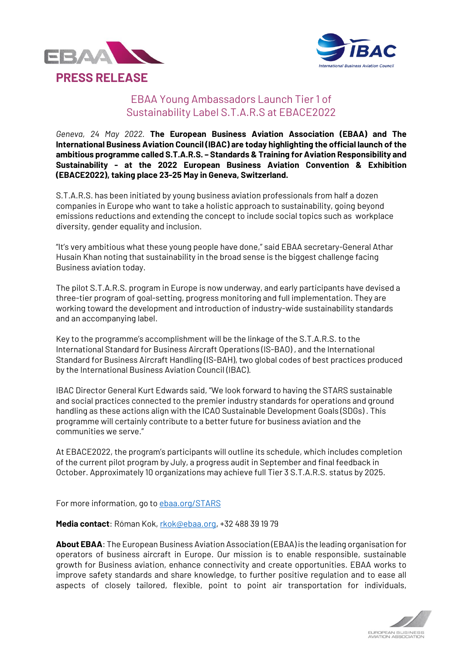



## EBAA Young Ambassadors Launch Tier 1 of Sustainability Label S.T.A.R.S at EBACE2022

*Geneva, 24 May 2022.* **The European Business Aviation Association (EBAA) and The International Business Aviation Council (IBAC) are today highlighting the official launch of the ambitious programme called S.T.A.R.S. – Standards & Training for Aviation Responsibility and Sustainability - at the 2022 European Business Aviation Convention & Exhibition (EBACE2022), taking place 23-25 May in Geneva, Switzerland.**

S.T.A.R.S. has been initiated by young business aviation professionals from half a dozen companies in Europe who want to take a holistic approach to sustainability, going beyond emissions reductions and extending the concept to include social topics such as workplace diversity, gender equality and inclusion.

"It's very ambitious what these young people have done," said EBAA secretary-General Athar Husain Khan noting that sustainability in the broad sense is the biggest challenge facing Business aviation today.

The pilot S.T.A.R.S. program in Europe is now underway, and early participants have devised a three-tier program of goal-setting, progress monitoring and full implementation. They are working toward the development and introduction of industry-wide sustainability standards and an accompanying label.

Key to the programme's accomplishment will be the linkage of the S.T.A.R.S. to the International Standard for Business Aircraft Operations (IS-BAO) , and the International Standard for Business Aircraft Handling (IS-BAH), two global codes of best practices produced by the International Business Aviation Council (IBAC).

IBAC Director General Kurt Edwards said, "We look forward to having the STARS sustainable and social practices connected to the premier industry standards for operations and ground handling as these actions align with the ICAO Sustainable Development Goals (SDGs) . This programme will certainly contribute to a better future for business aviation and the communities we serve."

At EBACE2022, the program's participants will outline its schedule, which includes completion of the current pilot program by July, a progress audit in September and final feedback in October. Approximately 10 organizations may achieve full Tier 3 S.T.A.R.S. status by 2025.

For more information, go to [ebaa.org/STARS](http://www.ebaa.org/STARS)

**Media contact**: Róman Kok, [rkok@ebaa.org,](mailto:rkok@ebaa.org) +32 488 39 19 79

**About EBAA**: The European Business Aviation Association (EBAA) is the leading organisation for operators of business aircraft in Europe. Our mission is to enable responsible, sustainable growth for Business aviation, enhance connectivity and create opportunities. EBAA works to improve safety standards and share knowledge, to further positive regulation and to ease all aspects of closely tailored, flexible, point to point air transportation for individuals,